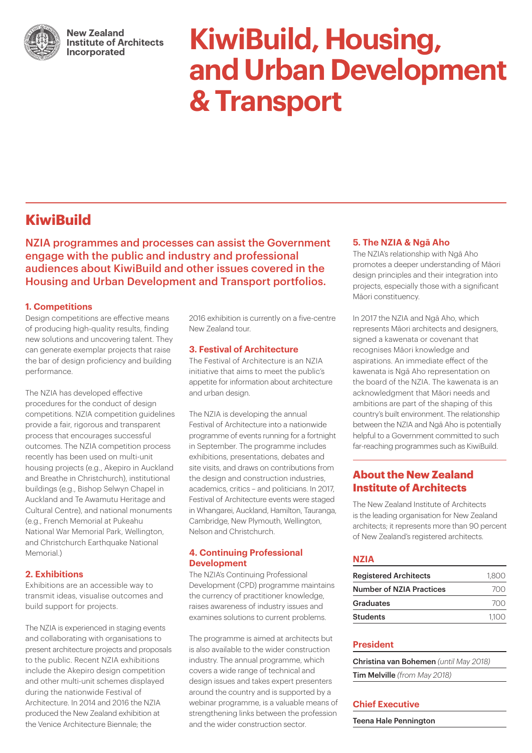

**New Zealand Institute of Architects** Incorporated

# **KiwiBuild, Housing, and Urban Development & Transport**

# **KiwiBuild**

NZIA programmes and processes can assist the Government engage with the public and industry and professional audiences about KiwiBuild and other issues covered in the Housing and Urban Development and Transport portfolios.

### **1. Competitions**

Design competitions are effective means of producing high-quality results, finding new solutions and uncovering talent. They can generate exemplar projects that raise the bar of design proficiency and building performance.

The NZIA has developed effective procedures for the conduct of design competitions. NZIA competition guidelines provide a fair, rigorous and transparent process that encourages successful outcomes. The NZIA competition process recently has been used on multi-unit housing projects (e.g., Akepiro in Auckland and Breathe in Christchurch), institutional buildings (e.g., Bishop Selwyn Chapel in Auckland and Te Awamutu Heritage and Cultural Centre), and national monuments (e.g., French Memorial at Pukeahu National War Memorial Park, Wellington, and Christchurch Earthquake National Memorial.)

# **2. Exhibitions**

Exhibitions are an accessible way to transmit ideas, visualise outcomes and build support for projects.

The NZIA is experienced in staging events and collaborating with organisations to present architecture projects and proposals to the public. Recent NZIA exhibitions include the Akepiro design competition and other multi-unit schemes displayed during the nationwide Festival of Architecture. In 2014 and 2016 the NZIA produced the New Zealand exhibition at the Venice Architecture Biennale; the

2016 exhibition is currently on a five-centre New Zealand tour.

#### **3. Festival of Architecture**

The Festival of Architecture is an NZIA initiative that aims to meet the public's appetite for information about architecture and urban design.

The NZIA is developing the annual Festival of Architecture into a nationwide programme of events running for a fortnight in September. The programme includes exhibitions, presentations, debates and site visits, and draws on contributions from the design and construction industries, academics, critics – and politicians. In 2017, Festival of Architecture events were staged in Whangarei, Auckland, Hamilton, Tauranga, Cambridge, New Plymouth, Wellington, Nelson and Christchurch.

#### **4. Continuing Professional Development**

The NZIA's Continuing Professional Development (CPD) programme maintains the currency of practitioner knowledge, raises awareness of industry issues and examines solutions to current problems.

The programme is aimed at architects but is also available to the wider construction industry. The annual programme, which covers a wide range of technical and design issues and takes expert presenters around the country and is supported by a webinar programme, is a valuable means of strengthening links between the profession and the wider construction sector.

### **5. The NZIA & Ngā Aho**

The NZIA's relationship with Ngā Aho promotes a deeper understanding of Māori design principles and their integration into projects, especially those with a significant Māori constituency.

In 2017 the NZIA and Ngā Aho, which represents Māori architects and designers, signed a kawenata or covenant that recognises Māori knowledge and aspirations. An immediate effect of the kawenata is Ngā Aho representation on the board of the NZIA. The kawenata is an acknowledgment that Māori needs and ambitions are part of the shaping of this country's built environment. The relationship between the NZIA and Ngā Aho is potentially helpful to a Government committed to such far-reaching programmes such as KiwiBuild.

# **About the New Zealand Institute of Architects**

The New Zealand Institute of Architects is the leading organisation for New Zealand architects; it represents more than 90 percent of New Zealand's registered architects.

# **NZIA**

| <b>Registered Architects</b>    | 1.800 |
|---------------------------------|-------|
| <b>Number of NZIA Practices</b> | 700   |
| Graduates                       | 700   |
| <b>Students</b>                 | 1100  |

# **President**

Christina van Bohemen *(until May 2018)* Tim Melville *(from May 2018)*

# **Chief Executive**

Teena Hale Pennington